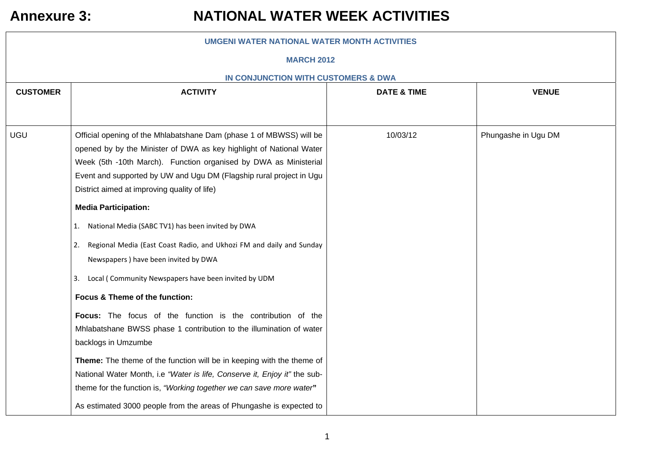| <b>UMGENI WATER NATIONAL WATER MONTH ACTIVITIES</b> |                                                                                                                                                                                                                                                                                                                                       |                        |                     |  |
|-----------------------------------------------------|---------------------------------------------------------------------------------------------------------------------------------------------------------------------------------------------------------------------------------------------------------------------------------------------------------------------------------------|------------------------|---------------------|--|
|                                                     | <b>MARCH 2012</b>                                                                                                                                                                                                                                                                                                                     |                        |                     |  |
|                                                     | IN CONJUNCTION WITH CUSTOMERS & DWA                                                                                                                                                                                                                                                                                                   |                        |                     |  |
| <b>CUSTOMER</b>                                     | <b>ACTIVITY</b>                                                                                                                                                                                                                                                                                                                       | <b>DATE &amp; TIME</b> | <b>VENUE</b>        |  |
|                                                     |                                                                                                                                                                                                                                                                                                                                       |                        |                     |  |
| UGU                                                 | Official opening of the Mhlabatshane Dam (phase 1 of MBWSS) will be<br>opened by by the Minister of DWA as key highlight of National Water<br>Week (5th -10th March). Function organised by DWA as Ministerial<br>Event and supported by UW and Ugu DM (Flagship rural project in Ugu<br>District aimed at improving quality of life) | 10/03/12               | Phungashe in Ugu DM |  |
|                                                     | <b>Media Participation:</b>                                                                                                                                                                                                                                                                                                           |                        |                     |  |
|                                                     | 1. National Media (SABC TV1) has been invited by DWA                                                                                                                                                                                                                                                                                  |                        |                     |  |
|                                                     | Regional Media (East Coast Radio, and Ukhozi FM and daily and Sunday<br>2.<br>Newspapers ) have been invited by DWA                                                                                                                                                                                                                   |                        |                     |  |
|                                                     | 3. Local (Community Newspapers have been invited by UDM                                                                                                                                                                                                                                                                               |                        |                     |  |
|                                                     | Focus & Theme of the function:                                                                                                                                                                                                                                                                                                        |                        |                     |  |
|                                                     | Focus: The focus of the function is the contribution of the<br>Mhlabatshane BWSS phase 1 contribution to the illumination of water<br>backlogs in Umzumbe                                                                                                                                                                             |                        |                     |  |
|                                                     | Theme: The theme of the function will be in keeping with the theme of<br>National Water Month, i.e "Water is life, Conserve it, Enjoy it" the sub-<br>theme for the function is, "Working together we can save more water"                                                                                                            |                        |                     |  |
|                                                     | As estimated 3000 people from the areas of Phungashe is expected to                                                                                                                                                                                                                                                                   |                        |                     |  |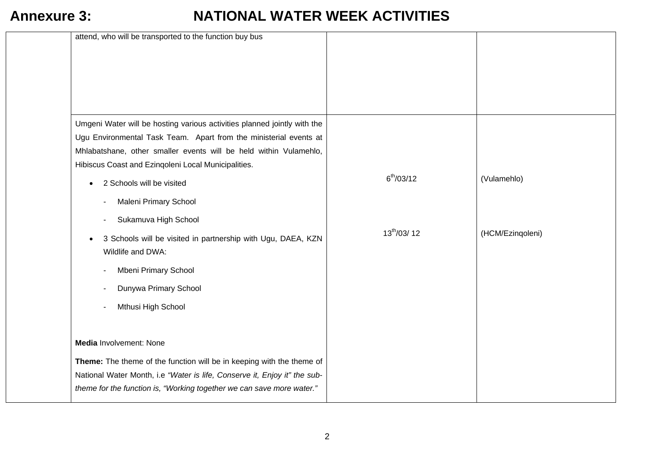| attend, who will be transported to the function buy bus                                                                                                                                                                                                                   |                 |                  |
|---------------------------------------------------------------------------------------------------------------------------------------------------------------------------------------------------------------------------------------------------------------------------|-----------------|------------------|
|                                                                                                                                                                                                                                                                           |                 |                  |
| Umgeni Water will be hosting various activities planned jointly with the<br>Ugu Environmental Task Team. Apart from the ministerial events at<br>Mhlabatshane, other smaller events will be held within Vulamehlo,<br>Hibiscus Coast and Ezingoleni Local Municipalities. |                 |                  |
| 2 Schools will be visited                                                                                                                                                                                                                                                 | $6^{th}/03/12$  | (Vulamehlo)      |
| Maleni Primary School<br>Sukamuva High School                                                                                                                                                                                                                             |                 |                  |
| 3 Schools will be visited in partnership with Ugu, DAEA, KZN<br>Wildlife and DWA:                                                                                                                                                                                         | $13^{th}/03/12$ | (HCM/Ezingoleni) |
| Mbeni Primary School                                                                                                                                                                                                                                                      |                 |                  |
| Dunywa Primary School                                                                                                                                                                                                                                                     |                 |                  |
| Mthusi High School                                                                                                                                                                                                                                                        |                 |                  |
| Media Involvement: None                                                                                                                                                                                                                                                   |                 |                  |
| Theme: The theme of the function will be in keeping with the theme of<br>National Water Month, i.e "Water is life, Conserve it, Enjoy it" the sub-<br>theme for the function is, "Working together we can save more water."                                               |                 |                  |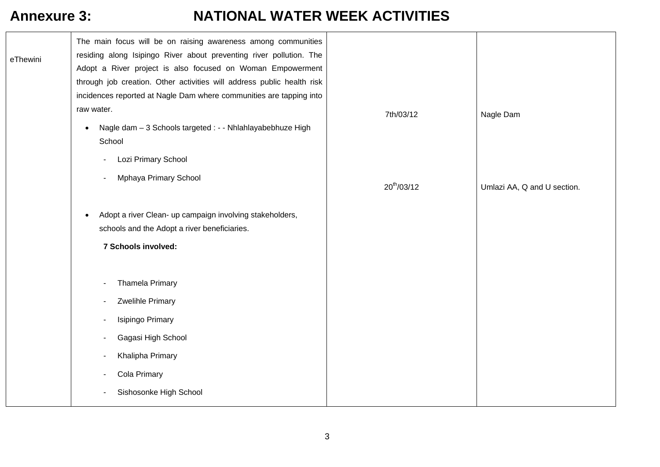| The main focus will be on raising awareness among communities<br>residing along Isipingo River about preventing river pollution. The<br>eThewini<br>Adopt a River project is also focused on Woman Empowerment<br>through job creation. Other activities will address public health risk<br>incidences reported at Nagle Dam where communities are tapping into<br>raw water.<br>7th/03/12<br>Nagle Dam<br>Nagle dam - 3 Schools targeted : - - Nhlahlayabebhuze High<br>$\bullet$<br>School<br>Lozi Primary School<br>Mphaya Primary School<br>$20^{th}/03/12$<br>Umlazi AA, Q and U section.<br>Adopt a river Clean- up campaign involving stakeholders,<br>schools and the Adopt a river beneficiaries.<br>7 Schools involved:<br><b>Thamela Primary</b><br>Zwelihle Primary<br>Isipingo Primary<br>Gagasi High School<br>Khalipha Primary<br>Cola Primary<br>Sishosonke High School |  |  |
|-----------------------------------------------------------------------------------------------------------------------------------------------------------------------------------------------------------------------------------------------------------------------------------------------------------------------------------------------------------------------------------------------------------------------------------------------------------------------------------------------------------------------------------------------------------------------------------------------------------------------------------------------------------------------------------------------------------------------------------------------------------------------------------------------------------------------------------------------------------------------------------------|--|--|
|                                                                                                                                                                                                                                                                                                                                                                                                                                                                                                                                                                                                                                                                                                                                                                                                                                                                                         |  |  |
|                                                                                                                                                                                                                                                                                                                                                                                                                                                                                                                                                                                                                                                                                                                                                                                                                                                                                         |  |  |
|                                                                                                                                                                                                                                                                                                                                                                                                                                                                                                                                                                                                                                                                                                                                                                                                                                                                                         |  |  |
|                                                                                                                                                                                                                                                                                                                                                                                                                                                                                                                                                                                                                                                                                                                                                                                                                                                                                         |  |  |
|                                                                                                                                                                                                                                                                                                                                                                                                                                                                                                                                                                                                                                                                                                                                                                                                                                                                                         |  |  |
|                                                                                                                                                                                                                                                                                                                                                                                                                                                                                                                                                                                                                                                                                                                                                                                                                                                                                         |  |  |
|                                                                                                                                                                                                                                                                                                                                                                                                                                                                                                                                                                                                                                                                                                                                                                                                                                                                                         |  |  |
|                                                                                                                                                                                                                                                                                                                                                                                                                                                                                                                                                                                                                                                                                                                                                                                                                                                                                         |  |  |
|                                                                                                                                                                                                                                                                                                                                                                                                                                                                                                                                                                                                                                                                                                                                                                                                                                                                                         |  |  |
|                                                                                                                                                                                                                                                                                                                                                                                                                                                                                                                                                                                                                                                                                                                                                                                                                                                                                         |  |  |
|                                                                                                                                                                                                                                                                                                                                                                                                                                                                                                                                                                                                                                                                                                                                                                                                                                                                                         |  |  |
|                                                                                                                                                                                                                                                                                                                                                                                                                                                                                                                                                                                                                                                                                                                                                                                                                                                                                         |  |  |
|                                                                                                                                                                                                                                                                                                                                                                                                                                                                                                                                                                                                                                                                                                                                                                                                                                                                                         |  |  |
|                                                                                                                                                                                                                                                                                                                                                                                                                                                                                                                                                                                                                                                                                                                                                                                                                                                                                         |  |  |
|                                                                                                                                                                                                                                                                                                                                                                                                                                                                                                                                                                                                                                                                                                                                                                                                                                                                                         |  |  |
|                                                                                                                                                                                                                                                                                                                                                                                                                                                                                                                                                                                                                                                                                                                                                                                                                                                                                         |  |  |
|                                                                                                                                                                                                                                                                                                                                                                                                                                                                                                                                                                                                                                                                                                                                                                                                                                                                                         |  |  |
|                                                                                                                                                                                                                                                                                                                                                                                                                                                                                                                                                                                                                                                                                                                                                                                                                                                                                         |  |  |
|                                                                                                                                                                                                                                                                                                                                                                                                                                                                                                                                                                                                                                                                                                                                                                                                                                                                                         |  |  |
|                                                                                                                                                                                                                                                                                                                                                                                                                                                                                                                                                                                                                                                                                                                                                                                                                                                                                         |  |  |
|                                                                                                                                                                                                                                                                                                                                                                                                                                                                                                                                                                                                                                                                                                                                                                                                                                                                                         |  |  |
|                                                                                                                                                                                                                                                                                                                                                                                                                                                                                                                                                                                                                                                                                                                                                                                                                                                                                         |  |  |
|                                                                                                                                                                                                                                                                                                                                                                                                                                                                                                                                                                                                                                                                                                                                                                                                                                                                                         |  |  |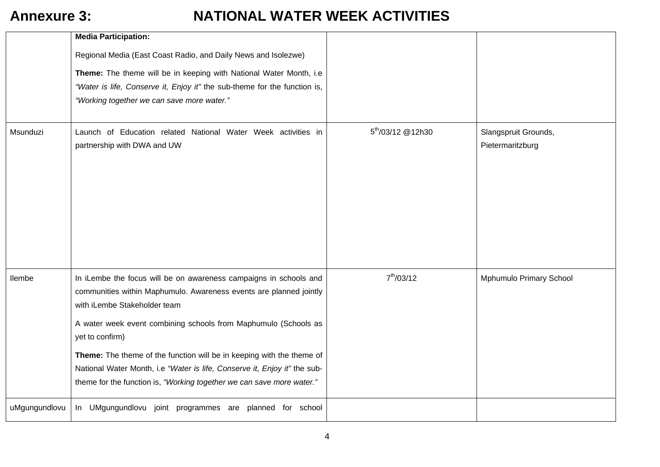|               | <b>Media Participation:</b>                                                                                                                                                                                                                                                                                                                                                                                                                                                                  |                               |                                          |
|---------------|----------------------------------------------------------------------------------------------------------------------------------------------------------------------------------------------------------------------------------------------------------------------------------------------------------------------------------------------------------------------------------------------------------------------------------------------------------------------------------------------|-------------------------------|------------------------------------------|
|               | Regional Media (East Coast Radio, and Daily News and Isolezwe)<br>Theme: The theme will be in keeping with National Water Month, i.e<br>"Water is life, Conserve it, Enjoy it" the sub-theme for the function is,<br>"Working together we can save more water."                                                                                                                                                                                                                              |                               |                                          |
| Msunduzi      | Launch of Education related National Water Week activities in<br>partnership with DWA and UW                                                                                                                                                                                                                                                                                                                                                                                                 | 5 <sup>th</sup> /03/12 @12h30 | Slangspruit Grounds,<br>Pietermaritzburg |
| llembe        | In iLembe the focus will be on awareness campaigns in schools and<br>communities within Maphumulo. Awareness events are planned jointly<br>with iLembe Stakeholder team<br>A water week event combining schools from Maphumulo (Schools as<br>yet to confirm)<br>Theme: The theme of the function will be in keeping with the theme of<br>National Water Month, i.e "Water is life, Conserve it, Enjoy it" the sub-<br>theme for the function is, "Working together we can save more water." | $7^{th}/03/12$                | Mphumulo Primary School                  |
| uMgungundlovu | In UMgungundlovu joint programmes are planned for school                                                                                                                                                                                                                                                                                                                                                                                                                                     |                               |                                          |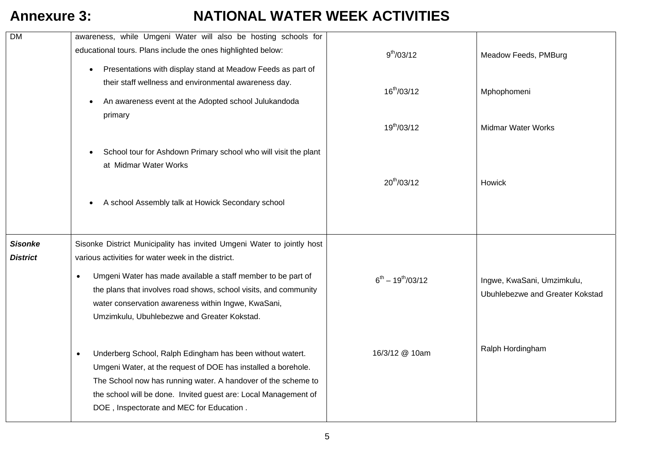| <b>DM</b>                         | awareness, while Umgeni Water will also be hosting schools for                                                               |                          |                                 |
|-----------------------------------|------------------------------------------------------------------------------------------------------------------------------|--------------------------|---------------------------------|
|                                   | educational tours. Plans include the ones highlighted below:                                                                 | $9^{th}/03/12$           | Meadow Feeds, PMBurg            |
|                                   | Presentations with display stand at Meadow Feeds as part of                                                                  |                          |                                 |
|                                   | their staff wellness and environmental awareness day.                                                                        | $16^{th}/03/12$          | Mphophomeni                     |
|                                   | An awareness event at the Adopted school Julukandoda                                                                         |                          |                                 |
|                                   | primary                                                                                                                      |                          |                                 |
|                                   |                                                                                                                              | $19^{th}/03/12$          | <b>Midmar Water Works</b>       |
|                                   | School tour for Ashdown Primary school who will visit the plant                                                              |                          |                                 |
|                                   | at Midmar Water Works                                                                                                        |                          |                                 |
|                                   |                                                                                                                              | $20^{th}/03/12$          | Howick                          |
|                                   |                                                                                                                              |                          |                                 |
|                                   | A school Assembly talk at Howick Secondary school                                                                            |                          |                                 |
|                                   |                                                                                                                              |                          |                                 |
|                                   |                                                                                                                              |                          |                                 |
| <b>Sisonke</b><br><b>District</b> | Sisonke District Municipality has invited Umgeni Water to jointly host<br>various activities for water week in the district. |                          |                                 |
|                                   |                                                                                                                              |                          |                                 |
|                                   | Umgeni Water has made available a staff member to be part of<br>$\bullet$                                                    | $6^{th} - 19^{th}/03/12$ | Ingwe, KwaSani, Umzimkulu,      |
|                                   | the plans that involves road shows, school visits, and community                                                             |                          | Ubuhlebezwe and Greater Kokstad |
|                                   | water conservation awareness within Ingwe, KwaSani,                                                                          |                          |                                 |
|                                   | Umzimkulu, Ubuhlebezwe and Greater Kokstad.                                                                                  |                          |                                 |
|                                   |                                                                                                                              |                          |                                 |
|                                   | Underberg School, Ralph Edingham has been without watert.<br>$\bullet$                                                       | 16/3/12 @ 10am           | Ralph Hordingham                |
|                                   | Umgeni Water, at the request of DOE has installed a borehole.                                                                |                          |                                 |
|                                   | The School now has running water. A handover of the scheme to                                                                |                          |                                 |
|                                   | the school will be done. Invited guest are: Local Management of                                                              |                          |                                 |
|                                   | DOE, Inspectorate and MEC for Education.                                                                                     |                          |                                 |
|                                   |                                                                                                                              |                          |                                 |